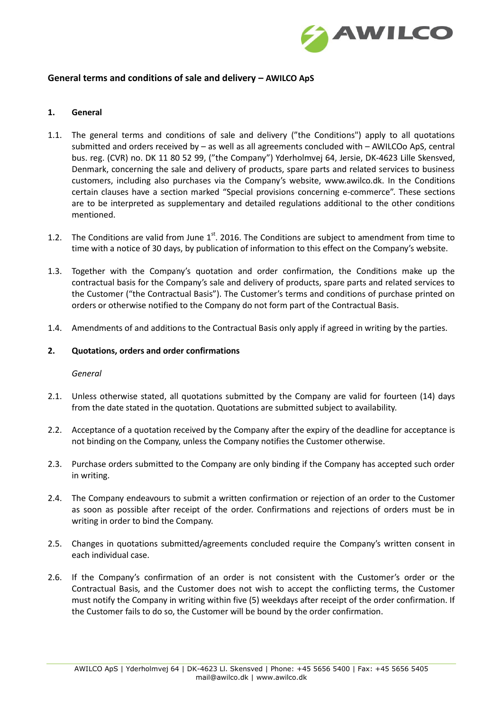

## **General terms and conditions of sale and delivery – AWILCO ApS**

### **1. General**

- 1.1. The general terms and conditions of sale and delivery ("the Conditions") apply to all quotations submitted and orders received by – as well as all agreements concluded with – AWILCOo ApS, central bus. reg. (CVR) no. DK 11 80 52 99, ("the Company") Yderholmvej 64, Jersie, DK-4623 Lille Skensved, Denmark, concerning the sale and delivery of products, spare parts and related services to business customers, including also purchases via the Company's website, [www.awilco.dk.](http://www.awilco.dk/) In the Conditions certain clauses have a section marked "Special provisions concerning e-commerce". These sections are to be interpreted as supplementary and detailed regulations additional to the other conditions mentioned.
- 1.2. The Conditions are valid from June  $1<sup>st</sup>$ . 2016. The Conditions are subject to amendment from time to time with a notice of 30 days, by publication of information to this effect on the Company's website.
- 1.3. Together with the Company's quotation and order confirmation, the Conditions make up the contractual basis for the Company's sale and delivery of products, spare parts and related services to the Customer ("the Contractual Basis"). The Customer's terms and conditions of purchase printed on orders or otherwise notified to the Company do not form part of the Contractual Basis.
- 1.4. Amendments of and additions to the Contractual Basis only apply if agreed in writing by the parties.

### **2. Quotations, orders and order confirmations**

#### *General*

- 2.1. Unless otherwise stated, all quotations submitted by the Company are valid for fourteen (14) days from the date stated in the quotation. Quotations are submitted subject to availability.
- 2.2. Acceptance of a quotation received by the Company after the expiry of the deadline for acceptance is not binding on the Company, unless the Company notifies the Customer otherwise.
- 2.3. Purchase orders submitted to the Company are only binding if the Company has accepted such order in writing.
- 2.4. The Company endeavours to submit a written confirmation or rejection of an order to the Customer as soon as possible after receipt of the order. Confirmations and rejections of orders must be in writing in order to bind the Company.
- 2.5. Changes in quotations submitted/agreements concluded require the Company's written consent in each individual case.
- 2.6. If the Company's confirmation of an order is not consistent with the Customer's order or the Contractual Basis, and the Customer does not wish to accept the conflicting terms, the Customer must notify the Company in writing within five (5) weekdays after receipt of the order confirmation. If the Customer fails to do so, the Customer will be bound by the order confirmation.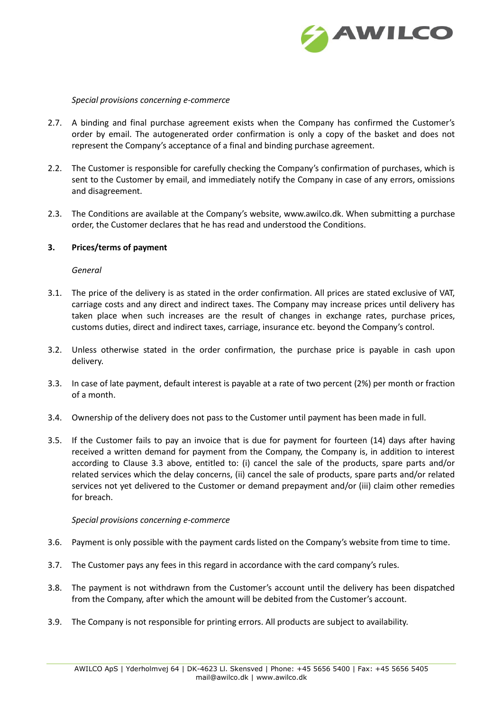

### *Special provisions concerning e-commerce*

- 2.7. A binding and final purchase agreement exists when the Company has confirmed the Customer's order by email. The autogenerated order confirmation is only a copy of the basket and does not represent the Company's acceptance of a final and binding purchase agreement.
- 2.2. The Customer is responsible for carefully checking the Company's confirmation of purchases, which is sent to the Customer by email, and immediately notify the Company in case of any errors, omissions and disagreement.
- 2.3. The Conditions are available at the Company's website, [www.awilco.dk.](http://www.awilco.dk/) When submitting a purchase order, the Customer declares that he has read and understood the Conditions.

### **3. Prices/terms of payment**

*General*

- 3.1. The price of the delivery is as stated in the order confirmation. All prices are stated exclusive of VAT, carriage costs and any direct and indirect taxes. The Company may increase prices until delivery has taken place when such increases are the result of changes in exchange rates, purchase prices, customs duties, direct and indirect taxes, carriage, insurance etc. beyond the Company's control.
- 3.2. Unless otherwise stated in the order confirmation, the purchase price is payable in cash upon delivery.
- 3.3. In case of late payment, default interest is payable at a rate of two percent (2%) per month or fraction of a month.
- 3.4. Ownership of the delivery does not pass to the Customer until payment has been made in full.
- 3.5. If the Customer fails to pay an invoice that is due for payment for fourteen (14) days after having received a written demand for payment from the Company, the Company is, in addition to interest according to Clause 3.3 above, entitled to: (i) cancel the sale of the products, spare parts and/or related services which the delay concerns, (ii) cancel the sale of products, spare parts and/or related services not yet delivered to the Customer or demand prepayment and/or (iii) claim other remedies for breach.

#### *Special provisions concerning e-commerce*

- 3.6. Payment is only possible with the payment cards listed on the Company's website from time to time.
- 3.7. The Customer pays any fees in this regard in accordance with the card company's rules.
- 3.8. The payment is not withdrawn from the Customer's account until the delivery has been dispatched from the Company, after which the amount will be debited from the Customer's account.
- 3.9. The Company is not responsible for printing errors. All products are subject to availability.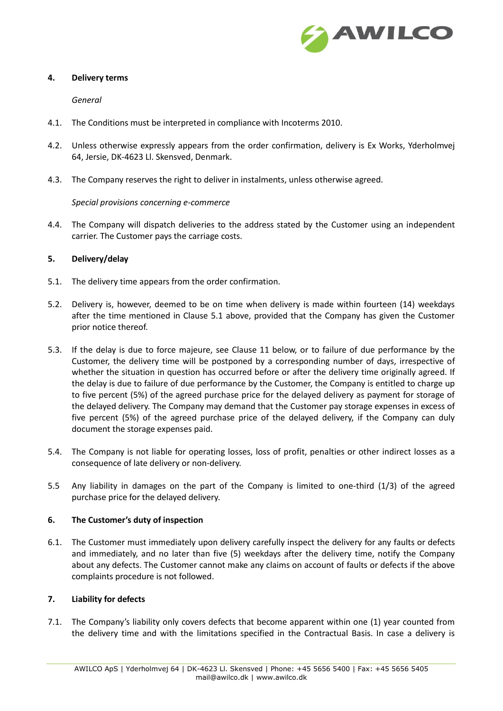

## **4. Delivery terms**

*General*

- 4.1. The Conditions must be interpreted in compliance with Incoterms 2010.
- 4.2. Unless otherwise expressly appears from the order confirmation, delivery is Ex Works, Yderholmvej 64, Jersie, DK-4623 Ll. Skensved, Denmark.
- 4.3. The Company reserves the right to deliver in instalments, unless otherwise agreed.

*Special provisions concerning e-commerce*

4.4. The Company will dispatch deliveries to the address stated by the Customer using an independent carrier. The Customer pays the carriage costs.

# **5. Delivery/delay**

- 5.1. The delivery time appears from the order confirmation.
- 5.2. Delivery is, however, deemed to be on time when delivery is made within fourteen (14) weekdays after the time mentioned in Clause 5.1 above, provided that the Company has given the Customer prior notice thereof.
- 5.3. If the delay is due to force majeure, see Clause 11 below, or to failure of due performance by the Customer, the delivery time will be postponed by a corresponding number of days, irrespective of whether the situation in question has occurred before or after the delivery time originally agreed. If the delay is due to failure of due performance by the Customer, the Company is entitled to charge up to five percent (5%) of the agreed purchase price for the delayed delivery as payment for storage of the delayed delivery. The Company may demand that the Customer pay storage expenses in excess of five percent (5%) of the agreed purchase price of the delayed delivery, if the Company can duly document the storage expenses paid.
- 5.4. The Company is not liable for operating losses, loss of profit, penalties or other indirect losses as a consequence of late delivery or non-delivery.
- 5.5 Any liability in damages on the part of the Company is limited to one-third (1/3) of the agreed purchase price for the delayed delivery.

# **6. The Customer's duty of inspection**

6.1. The Customer must immediately upon delivery carefully inspect the delivery for any faults or defects and immediately, and no later than five (5) weekdays after the delivery time, notify the Company about any defects. The Customer cannot make any claims on account of faults or defects if the above complaints procedure is not followed.

## **7. Liability for defects**

7.1. The Company's liability only covers defects that become apparent within one (1) year counted from the delivery time and with the limitations specified in the Contractual Basis. In case a delivery is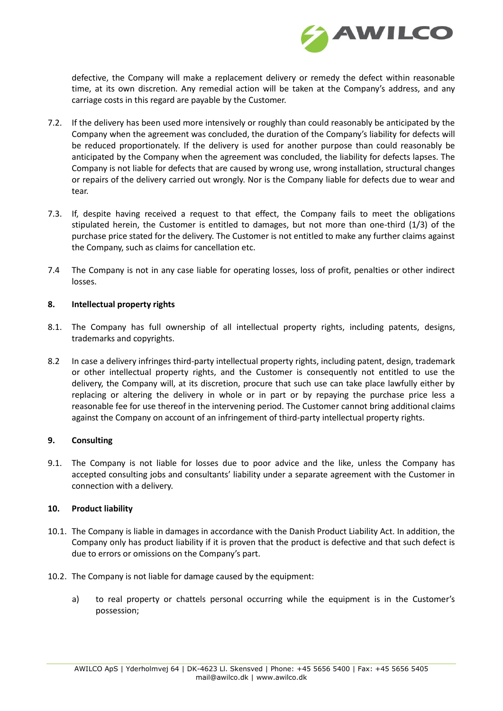

defective, the Company will make a replacement delivery or remedy the defect within reasonable time, at its own discretion. Any remedial action will be taken at the Company's address, and any carriage costs in this regard are payable by the Customer.

- 7.2. If the delivery has been used more intensively or roughly than could reasonably be anticipated by the Company when the agreement was concluded, the duration of the Company's liability for defects will be reduced proportionately. If the delivery is used for another purpose than could reasonably be anticipated by the Company when the agreement was concluded, the liability for defects lapses. The Company is not liable for defects that are caused by wrong use, wrong installation, structural changes or repairs of the delivery carried out wrongly. Nor is the Company liable for defects due to wear and tear.
- 7.3. If, despite having received a request to that effect, the Company fails to meet the obligations stipulated herein, the Customer is entitled to damages, but not more than one-third (1/3) of the purchase price stated for the delivery. The Customer is not entitled to make any further claims against the Company, such as claims for cancellation etc.
- 7.4 The Company is not in any case liable for operating losses, loss of profit, penalties or other indirect losses.

## **8. Intellectual property rights**

- 8.1. The Company has full ownership of all intellectual property rights, including patents, designs, trademarks and copyrights.
- 8.2 In case a delivery infringes third-party intellectual property rights, including patent, design, trademark or other intellectual property rights, and the Customer is consequently not entitled to use the delivery, the Company will, at its discretion, procure that such use can take place lawfully either by replacing or altering the delivery in whole or in part or by repaying the purchase price less a reasonable fee for use thereof in the intervening period. The Customer cannot bring additional claims against the Company on account of an infringement of third-party intellectual property rights.

## **9. Consulting**

9.1. The Company is not liable for losses due to poor advice and the like, unless the Company has accepted consulting jobs and consultants' liability under a separate agreement with the Customer in connection with a delivery.

## **10. Product liability**

- 10.1. The Company is liable in damages in accordance with the Danish Product Liability Act. In addition, the Company only has product liability if it is proven that the product is defective and that such defect is due to errors or omissions on the Company's part.
- 10.2. The Company is not liable for damage caused by the equipment:
	- a) to real property or chattels personal occurring while the equipment is in the Customer's possession;